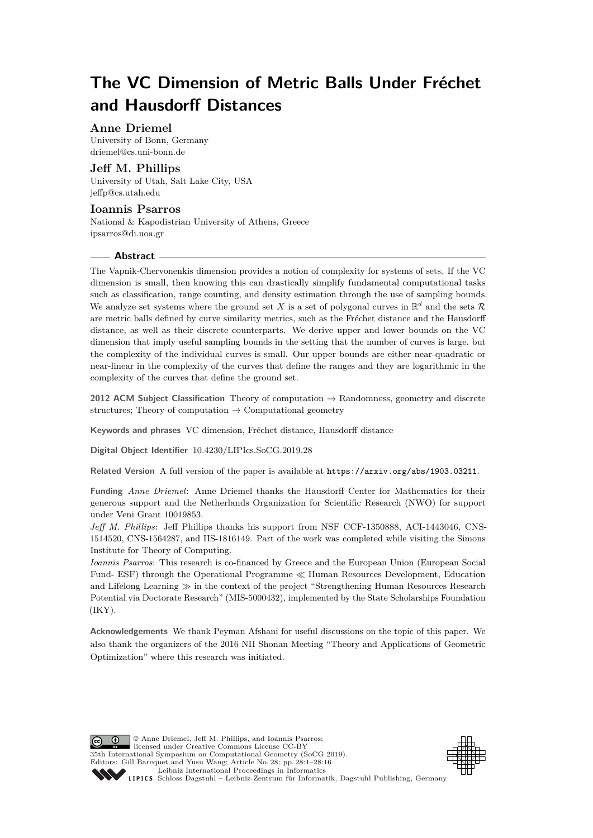# **The VC Dimension of Metric Balls Under Fréchet and Hausdorff Distances**

## **Anne Driemel**

University of Bonn, Germany [driemel@cs.uni-bonn.de](mailto:driemel@cs.uni-bonn.de)

# **Jeff M. Phillips**

University of Utah, Salt Lake City, USA [jeffp@cs.utah.edu](mailto:jeffp@cs.utah.edu)

# **Ioannis Psarros**

National & Kapodistrian University of Athens, Greece [ipsarros@di.uoa.gr](mailto:ipsarros@di.uoa.gr)

## **Abstract**

The Vapnik-Chervonenkis dimension provides a notion of complexity for systems of sets. If the VC dimension is small, then knowing this can drastically simplify fundamental computational tasks such as classification, range counting, and density estimation through the use of sampling bounds. We analyze set systems where the ground set X is a set of polygonal curves in  $\mathbb{R}^d$  and the sets R are metric balls defined by curve similarity metrics, such as the Fréchet distance and the Hausdorff distance, as well as their discrete counterparts. We derive upper and lower bounds on the VC dimension that imply useful sampling bounds in the setting that the number of curves is large, but the complexity of the individual curves is small. Our upper bounds are either near-quadratic or near-linear in the complexity of the curves that define the ranges and they are logarithmic in the complexity of the curves that define the ground set.

**2012 ACM Subject Classification** Theory of computation → Randomness, geometry and discrete structures; Theory of computation  $\rightarrow$  Computational geometry

**Keywords and phrases** VC dimension, Fréchet distance, Hausdorff distance

**Digital Object Identifier** [10.4230/LIPIcs.SoCG.2019.28](https://doi.org/10.4230/LIPIcs.SoCG.2019.28)

**Related Version** A full version of the paper is available at <https://arxiv.org/abs/1903.03211>.

**Funding** *Anne Driemel*: Anne Driemel thanks the Hausdorff Center for Mathematics for their generous support and the Netherlands Organization for Scientific Research (NWO) for support under Veni Grant 10019853.

*Jeff M. Phillips*: Jeff Phillips thanks his support from NSF CCF-1350888, ACI-1443046, CNS-1514520, CNS-1564287, and IIS-1816149. Part of the work was completed while visiting the Simons Institute for Theory of Computing.

*Ioannis Psarros*: This research is co-financed by Greece and the European Union (European Social Fund- ESF) through the Operational Programme  $\ll$  Human Resources Development, Education and Lifelong Learning  $\gg$  in the context of the project "Strengthening Human Resources Research" Potential via Doctorate Research" (MIS-5000432), implemented by the State Scholarships Foundation (IKY).

**Acknowledgements** We thank Peyman Afshani for useful discussions on the topic of this paper. We also thank the organizers of the 2016 NII Shonan Meeting "Theory and Applications of Geometric Optimization" where this research was initiated.

© Anne Driemel, Jeff M. Phillips, and Ioannis Psarros; licensed under Creative Commons License CC-BY 35th International Symposium on Computational Geometry (SoCG 2019). Editors: Gill Barequet and Yusu Wang; Article No. 28; pp. 28:1–28[:16](#page-15-0) [Leibniz International Proceedings in Informatics](https://www.dagstuhl.de/lipics/) [Schloss Dagstuhl – Leibniz-Zentrum für Informatik, Dagstuhl Publishing, Germany](https://www.dagstuhl.de)

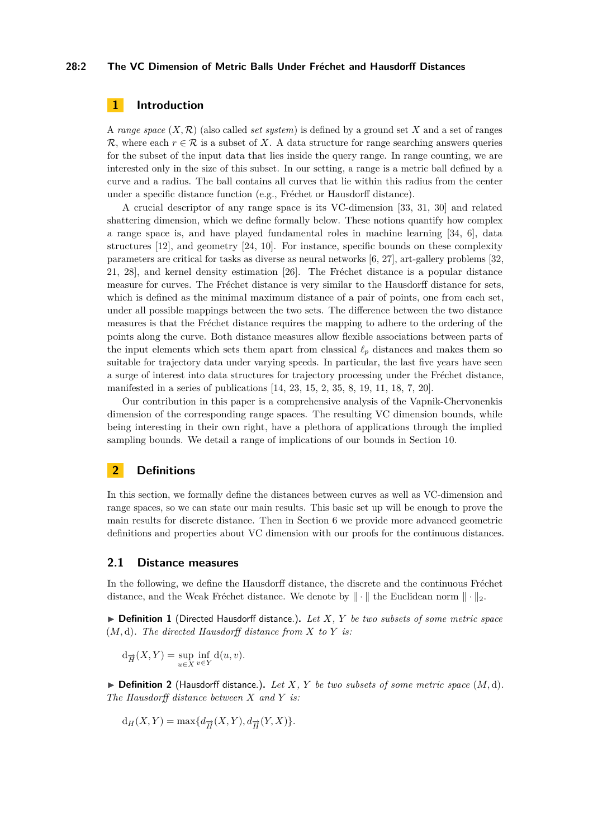## **28:2 The VC Dimension of Metric Balls Under Fréchet and Hausdorff Distances**

# **1 Introduction**

A *range space*  $(X, \mathcal{R})$  (also called *set system*) is defined by a ground set X and a set of ranges R, where each  $r \in \mathcal{R}$  is a subset of X. A data structure for range searching answers queries for the subset of the input data that lies inside the query range. In range counting, we are interested only in the size of this subset. In our setting, a range is a metric ball defined by a curve and a radius. The ball contains all curves that lie within this radius from the center under a specific distance function (e.g., Fréchet or Hausdorff distance).

A crucial descriptor of any range space is its VC-dimension [\[33,](#page-15-1) [31,](#page-15-2) [30\]](#page-15-3) and related shattering dimension, which we define formally below. These notions quantify how complex a range space is, and have played fundamental roles in machine learning [\[34,](#page-15-4) [6\]](#page-14-0), data structures [\[12\]](#page-14-1), and geometry [\[24,](#page-15-5) [10\]](#page-14-2). For instance, specific bounds on these complexity parameters are critical for tasks as diverse as neural networks [\[6,](#page-14-0) [27\]](#page-15-6), art-gallery problems [\[32,](#page-15-7) [21,](#page-14-3) [28\]](#page-15-8), and kernel density estimation [\[26\]](#page-15-9). The Fréchet distance is a popular distance measure for curves. The Fréchet distance is very similar to the Hausdorff distance for sets, which is defined as the minimal maximum distance of a pair of points, one from each set, under all possible mappings between the two sets. The difference between the two distance measures is that the Fréchet distance requires the mapping to adhere to the ordering of the points along the curve. Both distance measures allow flexible associations between parts of the input elements which sets them apart from classical  $\ell_p$  distances and makes them so suitable for trajectory data under varying speeds. In particular, the last five years have seen a surge of interest into data structures for trajectory processing under the Fréchet distance, manifested in a series of publications [\[14,](#page-14-4) [23,](#page-15-10) [15,](#page-14-5) [2,](#page-13-0) [35,](#page-15-11) [8,](#page-14-6) [19,](#page-14-7) [11,](#page-14-8) [18,](#page-14-9) [7,](#page-14-10) [20\]](#page-14-11).

Our contribution in this paper is a comprehensive analysis of the Vapnik-Chervonenkis dimension of the corresponding range spaces. The resulting VC dimension bounds, while being interesting in their own right, have a plethora of applications through the implied sampling bounds. We detail a range of implications of our bounds in Section [10.](#page-12-0)

# **2 Definitions**

In this section, we formally define the distances between curves as well as VC-dimension and range spaces, so we can state our main results. This basic set up will be enough to prove the main results for discrete distance. Then in Section [6](#page-6-0) we provide more advanced geometric definitions and properties about VC dimension with our proofs for the continuous distances.

## **2.1 Distance measures**

In the following, we define the Hausdorff distance, the discrete and the continuous Fréchet distance, and the Weak Fréchet distance. We denote by  $\|\cdot\|$  the Euclidean norm  $\|\cdot\|_2$ .

I **Definition 1** (Directed Hausdorff distance.)**.** *Let X, Y be two subsets of some metric space* (*M,* d)*. The directed Hausdorff distance from X to Y is:*

$$
d_{\overrightarrow{H}}(X,Y) = \sup_{u \in X} \inf_{v \in Y} d(u,v).
$$

 $\blacktriangleright$  **Definition 2** (Hausdorff distance.). Let *X*, *Y* be two subsets of some metric space  $(M, d)$ . *The Hausdorff distance between X and Y is:*

$$
d_H(X, Y) = \max\{d_{\overrightarrow{H}}(X, Y), d_{\overrightarrow{H}}(Y, X)\}.
$$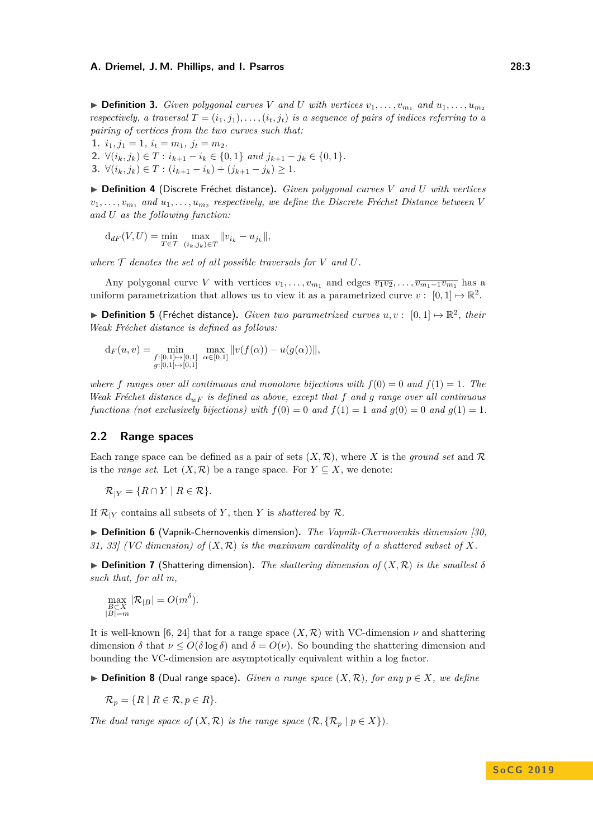$\triangleright$  **Definition 3.** *Given polygonal curves V and U with vertices*  $v_1, \ldots, v_{m_1}$  *and*  $u_1, \ldots, u_m$ *respectively, a traversal*  $T = (i_1, j_1), \ldots, (i_t, j_t)$  *is a sequence of pairs of indices referring to a pairing of vertices from the two curves such that:*

**1.**  $i_1, j_1 = 1, i_t = m_1, j_t = m_2.$ 

**2.** ∀( $i_k, j_k$ ) ∈ *T* :  $i_{k+1} - i_k$  ∈ {0, 1} *and*  $j_{k+1} - j_k$  ∈ {0, 1}*.* 

**3.** ∀( $i_k, j_k$ ) ∈ *T* : ( $i_{k+1} - i_k$ ) + ( $j_{k+1} - j_k$ ) ≥ 1*.* 

I **Definition 4** (Discrete Fréchet distance)**.** *Given polygonal curves V and U with vertices*  $v_1, \ldots, v_{m_1}$  and  $u_1, \ldots, u_{m_2}$  respectively, we define the Discrete Fréchet Distance between V *and U as the following function:*

 $d_{dF}(V, U) = \min_{T \in \mathcal{T}} \max_{(i_k, j_k) \in T} ||v_{i_k} - u_{j_k}||,$ 

where  $\mathcal T$  *denotes the set of all possible traversals for*  $V$  *and*  $U$ *.* 

Any polygonal curve *V* with vertices  $v_1, \ldots, v_{m_1}$  and edges  $\overline{v_1v_2}, \ldots, \overline{v_{m_1-1}v_{m_1}}$  has a uniform parametrization that allows us to view it as a parametrized curve  $v: [0,1] \mapsto \mathbb{R}^2$ .

▶ **Definition 5** (Fréchet distance). *Given two parametrized curves*  $u, v$  :  $[0, 1] \mapsto \mathbb{R}^2$ , their *Weak Fréchet distance is defined as follows:*

$$
d_F(u, v) = \min_{\substack{f:[0,1]\mapsto[0,1] \\ g:[0,1]\mapsto[0,1]}} \max_{\alpha\in[0,1]} \|v(f(\alpha)) - u(g(\alpha))\|,
$$

*where f* ranges over all continuous and monotone bijections with  $f(0) = 0$  and  $f(1) = 1$ . The *Weak Fréchet distance dwF is defined as above, except that f and g range over all continuous functions (not exclusively bijections) with*  $f(0) = 0$  *and*  $f(1) = 1$  *and*  $g(0) = 0$  *and*  $g(1) = 1$ *.* 

## **2.2 Range spaces**

Each range space can be defined as a pair of sets  $(X, \mathcal{R})$ , where X is the *ground set* and  $\mathcal{R}$ is the *range set*. Let  $(X, \mathcal{R})$  be a range space. For  $Y \subseteq X$ , we denote:

 $\mathcal{R}_{|Y} = \{R \cap Y \mid R \in \mathcal{R}\}.$ 

If  $\mathcal{R}_{|Y}$  contains all subsets of *Y*, then *Y* is *shattered* by  $\mathcal{R}$ .

I **Definition 6** (Vapnik-Chernovenkis dimension)**.** *The Vapnik-Chernovenkis dimension [\[30,](#page-15-3) [31,](#page-15-2) [33\]](#page-15-1) (VC dimension) of* (*X,* R) *is the maximum cardinality of a shattered subset of X.*

 $\triangleright$  **Definition 7** (Shattering dimension). The shattering dimension of  $(X, \mathcal{R})$  is the smallest  $\delta$ *such that, for all m,*

$$
\max_{\substack{B \subset X \\ |B| = m}} |\mathcal{R}_{|B}| = O(m^{\delta}).
$$

It is well-known [\[6,](#page-14-0) [24\]](#page-15-5) that for a range space  $(X, \mathcal{R})$  with VC-dimension  $\nu$  and shattering dimension  $\delta$  that  $\nu \le O(\delta \log \delta)$  and  $\delta = O(\nu)$ . So bounding the shattering dimension and bounding the VC-dimension are asymptotically equivalent within a log factor.

▶ **Definition 8** (Dual range space). *Given a range space*  $(X, \mathcal{R})$ *, for any*  $p \in X$ *, we define* 

$$
\mathcal{R}_p = \{ R \mid R \in \mathcal{R}, p \in R \}.
$$

*The dual range space of*  $(X, \mathcal{R})$  *is the range space*  $(\mathcal{R}, {\mathcal{R}_p \mid p \in X})$ *.*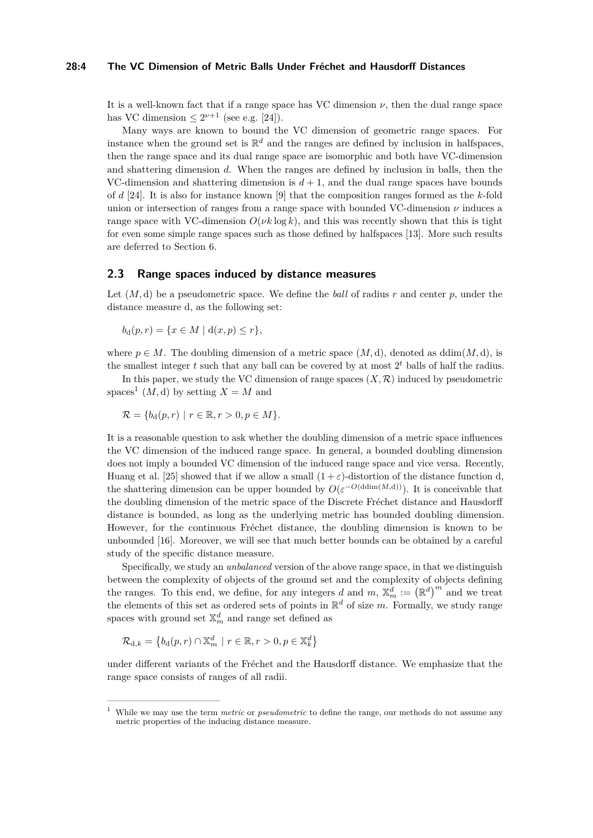#### **28:4 The VC Dimension of Metric Balls Under Fréchet and Hausdorff Distances**

It is a well-known fact that if a range space has VC dimension  $\nu$ , then the dual range space has VC dimension  $\leq 2^{\nu+1}$  (see e.g. [\[24\]](#page-15-5)).

Many ways are known to bound the VC dimension of geometric range spaces. For instance when the ground set is  $\mathbb{R}^d$  and the ranges are defined by inclusion in halfspaces, then the range space and its dual range space are isomorphic and both have VC-dimension and shattering dimension *d*. When the ranges are defined by inclusion in balls, then the VC-dimension and shattering dimension is  $d+1$ , and the dual range spaces have bounds of *d* [\[24\]](#page-15-5). It is also for instance known [\[9\]](#page-14-12) that the composition ranges formed as the *k*-fold union or intersection of ranges from a range space with bounded VC-dimension  $\nu$  induces a range space with VC-dimension  $O(\nu k \log k)$ , and this was recently shown that this is tight for even some simple range spaces such as those defined by halfspaces [\[13\]](#page-14-13). More such results are deferred to Section [6.](#page-6-0)

## **2.3 Range spaces induced by distance measures**

Let (*M,* d) be a pseudometric space. We define the *ball* of radius *r* and center *p*, under the distance measure d, as the following set:

$$
b_{d}(p,r) = \{x \in M \mid d(x,p) \le r\},\
$$

where  $p \in M$ . The doubling dimension of a metric space  $(M, d)$ , denoted as ddim $(M, d)$ , is the smallest integer *t* such that any ball can be covered by at most 2 *<sup>t</sup>* balls of half the radius.

In this paper, we study the VC dimension of range spaces  $(X, \mathcal{R})$  induced by pseudometric spaces<sup>[1](#page-3-0)</sup>  $(M, d)$  by setting  $X = M$  and

$$
\mathcal{R} = \{b_d(p,r) \mid r \in \mathbb{R}, r > 0, p \in M\}.
$$

It is a reasonable question to ask whether the doubling dimension of a metric space influences the VC dimension of the induced range space. In general, a bounded doubling dimension does not imply a bounded VC dimension of the induced range space and vice versa. Recently, Huang et al. [\[25\]](#page-15-12) showed that if we allow a small  $(1 + \varepsilon)$ -distortion of the distance function d, the shattering dimension can be upper bounded by  $O(\varepsilon^{-O(\text{ddim}(M,\text{d})))})$ . It is conceivable that the doubling dimension of the metric space of the Discrete Fréchet distance and Hausdorff distance is bounded, as long as the underlying metric has bounded doubling dimension. However, for the continuous Fréchet distance, the doubling dimension is known to be unbounded [\[16\]](#page-14-14). Moreover, we will see that much better bounds can be obtained by a careful study of the specific distance measure.

Specifically, we study an *unbalanced* version of the above range space, in that we distinguish between the complexity of objects of the ground set and the complexity of objects defining the ranges. To this end, we define, for any integers *d* and *m*,  $\mathbb{X}_m^d := (\mathbb{R}^d)^m$  and we treat the elements of this set as ordered sets of points in  $\mathbb{R}^d$  of size *m*. Formally, we study range spaces with ground set  $\mathbb{X}_m^d$  and range set defined as

$$
\mathcal{R}_{d,k} = \left\{ b_d(p,r) \cap \mathbb{X}_m^d \mid r \in \mathbb{R}, r > 0, p \in \mathbb{X}_k^d \right\}
$$

under different variants of the Fréchet and the Hausdorff distance. We emphasize that the range space consists of ranges of all radii.

<span id="page-3-0"></span><sup>1</sup> While we may use the term *metric* or *pseudometric* to define the range, our methods do not assume any metric properties of the inducing distance measure.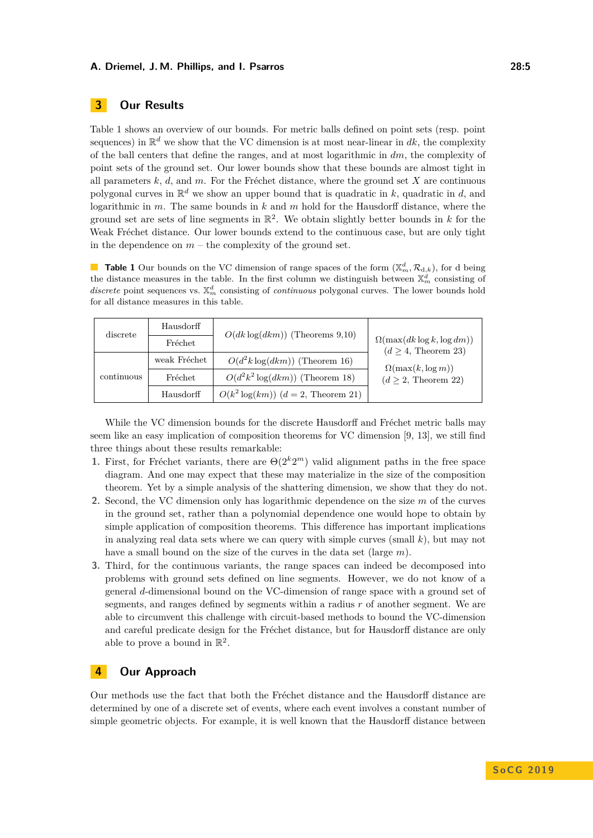# **3 Our Results**

Table [1](#page-4-0) shows an overview of our bounds. For metric balls defined on point sets (resp. point sequences) in  $\mathbb{R}^d$  we show that the VC dimension is at most near-linear in  $dk$ , the complexity of the ball centers that define the ranges, and at most logarithmic in *dm*, the complexity of point sets of the ground set. Our lower bounds show that these bounds are almost tight in all parameters *k*, *d*, and *m*. For the Fréchet distance, where the ground set *X* are continuous polygonal curves in  $\mathbb{R}^d$  we show an upper bound that is quadratic in *k*, quadratic in *d*, and logarithmic in *m*. The same bounds in *k* and *m* hold for the Hausdorff distance, where the ground set are sets of line segments in  $\mathbb{R}^2$ . We obtain slightly better bounds in *k* for the Weak Fréchet distance. Our lower bounds extend to the continuous case, but are only tight in the dependence on  $m$  – the complexity of the ground set.

<span id="page-4-0"></span>**Table 1** Our bounds on the VC dimension of range spaces of the form  $(\mathbb{X}_m^d, \mathcal{R}_{d,k})$ , for d being the distance measures in the table. In the first column we distinguish between  $\mathbb{X}_m^d$  consisting of discrete point sequences vs.  $\mathbb{X}_m^d$  consisting of *continuous* polygonal curves. The lower bounds hold for all distance measures in this table.

| discrete   | Hausdorff    | $O(dk \log(dkm))$ (Theorems 9,10)       | $\Omega(\max(dk \log k, \log dm))$<br>$(d \geq 4,$ Theorem 23)<br>$\Omega(\max(k, \log m))$<br>$(d \geq 2,$ Theorem 22) |
|------------|--------------|-----------------------------------------|-------------------------------------------------------------------------------------------------------------------------|
|            | Fréchet      |                                         |                                                                                                                         |
| continuous | weak Fréchet | $O(d^2k \log(dkm))$ (Theorem 16)        |                                                                                                                         |
|            | Fréchet      | $O(d^2k^2 \log(dkm))$ (Theorem 18)      |                                                                                                                         |
|            | Hausdorff    | $O(k^2 \log(km))$ $(d = 2,$ Theorem 21) |                                                                                                                         |

While the VC dimension bounds for the discrete Hausdorff and Fréchet metric balls may seem like an easy implication of composition theorems for VC dimension [\[9,](#page-14-12) [13\]](#page-14-13), we still find three things about these results remarkable:

- **1.** First, for Fréchet variants, there are  $\Theta(2^k 2^m)$  valid alignment paths in the free space diagram. And one may expect that these may materialize in the size of the composition theorem. Yet by a simple analysis of the shattering dimension, we show that they do not.
- **2.** Second, the VC dimension only has logarithmic dependence on the size *m* of the curves in the ground set, rather than a polynomial dependence one would hope to obtain by simple application of composition theorems. This difference has important implications in analyzing real data sets where we can query with simple curves (small  $k$ ), but may not have a small bound on the size of the curves in the data set (large *m*).
- **3.** Third, for the continuous variants, the range spaces can indeed be decomposed into problems with ground sets defined on line segments. However, we do not know of a general *d*-dimensional bound on the VC-dimension of range space with a ground set of segments, and ranges defined by segments within a radius *r* of another segment. We are able to circumvent this challenge with circuit-based methods to bound the VC-dimension and careful predicate design for the Fréchet distance, but for Hausdorff distance are only able to prove a bound in  $\mathbb{R}^2$ .

# **4 Our Approach**

Our methods use the fact that both the Fréchet distance and the Hausdorff distance are determined by one of a discrete set of events, where each event involves a constant number of simple geometric objects. For example, it is well known that the Hausdorff distance between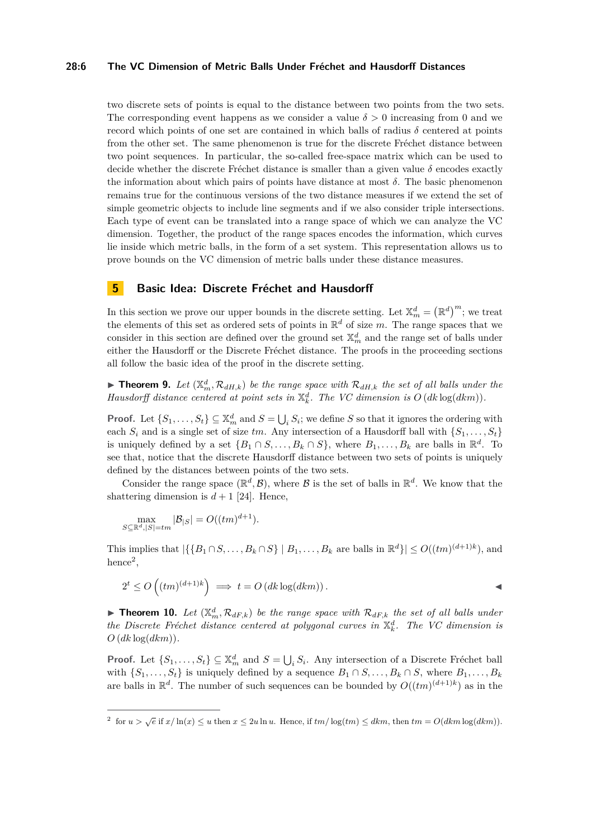## **28:6 The VC Dimension of Metric Balls Under Fréchet and Hausdorff Distances**

two discrete sets of points is equal to the distance between two points from the two sets. The corresponding event happens as we consider a value  $\delta > 0$  increasing from 0 and we record which points of one set are contained in which balls of radius  $\delta$  centered at points from the other set. The same phenomenon is true for the discrete Fréchet distance between two point sequences. In particular, the so-called free-space matrix which can be used to decide whether the discrete Fréchet distance is smaller than a given value *δ* encodes exactly the information about which pairs of points have distance at most *δ*. The basic phenomenon remains true for the continuous versions of the two distance measures if we extend the set of simple geometric objects to include line segments and if we also consider triple intersections. Each type of event can be translated into a range space of which we can analyze the VC dimension. Together, the product of the range spaces encodes the information, which curves lie inside which metric balls, in the form of a set system. This representation allows us to prove bounds on the VC dimension of metric balls under these distance measures.

# **5 Basic Idea: Discrete Fréchet and Hausdorff**

In this section we prove our upper bounds in the discrete setting. Let  $\mathbb{X}_m^d = (\mathbb{R}^d)^m$ ; we treat the elements of this set as ordered sets of points in  $\mathbb{R}^d$  of size *m*. The range spaces that we consider in this section are defined over the ground set  $\mathbb{X}_m^d$  and the range set of balls under either the Hausdorff or the Discrete Fréchet distance. The proofs in the proceeding sections all follow the basic idea of the proof in the discrete setting.

<span id="page-5-0"></span>**Findman 1.** Let  $(X_m^d, \mathcal{R}_{dH,k})$  be the range space with  $\mathcal{R}_{dH,k}$  the set of all balls under the *Hausdorff distance centered at point sets in*  $\mathbb{X}_k^d$ *. The VC dimension is*  $O(dk \log(dkm))$ *.* 

**Proof.** Let  $\{S_1, \ldots, S_t\} \subseteq \mathbb{X}_m^d$  and  $S = \bigcup_i S_i$ ; we define *S* so that it ignores the ordering with each  $S_i$  and is a single set of size *tm*. Any intersection of a Hausdorff ball with  $\{S_1, \ldots, S_t\}$ is uniquely defined by a set  $\{B_1 \cap S, \ldots, B_k \cap S\}$ , where  $B_1, \ldots, B_k$  are balls in  $\mathbb{R}^d$ . To see that, notice that the discrete Hausdorff distance between two sets of points is uniquely defined by the distances between points of the two sets.

Consider the range space  $(\mathbb{R}^d, \mathcal{B})$ , where  $\mathcal B$  is the set of balls in  $\mathbb{R}^d$ . We know that the shattering dimension is  $d+1$  [\[24\]](#page-15-5). Hence,

$$
\max_{S \subseteq \mathbb{R}^d, |S| = tm} |\mathcal{B}| = O((tm)^{d+1}).
$$

This implies that  $|\{\{B_1 \cap S, \ldots, B_k \cap S\} \mid B_1, \ldots, B_k \text{ are balls in } \mathbb{R}^d\}| \leq O((tm)^{(d+1)k})$ , and hence<sup>[2](#page-5-2)</sup>,

$$
2^{t} \le O\left((tm)^{(d+1)k}\right) \implies t = O\left(dk\log(dkm)\right).
$$

<span id="page-5-1"></span>**Findment 10.** Let  $(X_m^d, \mathcal{R}_{dF,k})$  be the range space with  $\mathcal{R}_{dF,k}$  the set of all balls under *the Discrete Fréchet distance centered at polygonal curves in*  $\mathbb{X}_k^d$ . The VC dimension is  $O$  ( $dk \log(dkm)$ ).

**Proof.** Let  $\{S_1, \ldots, S_t\} \subseteq \mathbb{X}_m^d$  and  $S = \bigcup_i S_i$ . Any intersection of a Discrete Fréchet ball with  $\{S_1, \ldots, S_t\}$  is uniquely defined by a sequence  $B_1 \cap S, \ldots, B_k \cap S$ , where  $B_1, \ldots, B_k$ are balls in  $\mathbb{R}^d$ . The number of such sequences can be bounded by  $O((tm)^{(d+1)k})$  as in the

<span id="page-5-2"></span><sup>&</sup>lt;sup>2</sup> for  $u > \sqrt{e}$  if  $x/\ln(x) \le u$  then  $x \le 2u \ln u$ . Hence, if  $tm/\log(tm) \le dkm$ , then  $tm = O(dkm \log(dkm))$ .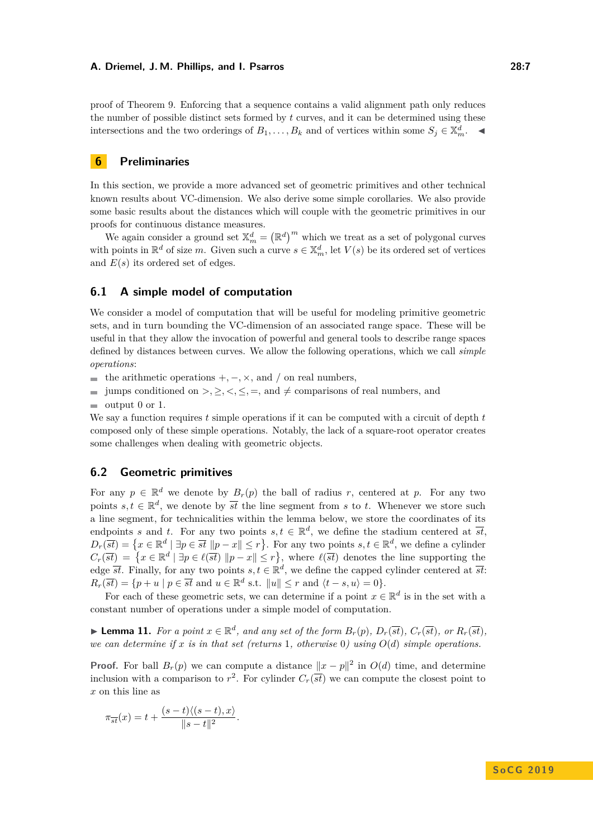proof of Theorem [9.](#page-5-0) Enforcing that a sequence contains a valid alignment path only reduces the number of possible distinct sets formed by *t* curves, and it can be determined using these intersections and the two orderings of  $B_1, \ldots, B_k$  and of vertices within some  $S_j \in \mathbb{X}_m^d$ .

# <span id="page-6-0"></span>**6 Preliminaries**

In this section, we provide a more advanced set of geometric primitives and other technical known results about VC-dimension. We also derive some simple corollaries. We also provide some basic results about the distances which will couple with the geometric primitives in our proofs for continuous distance measures.

We again consider a ground set  $\mathbb{X}_m^d = (\mathbb{R}^d)^m$  which we treat as a set of polygonal curves with points in  $\mathbb{R}^d$  of size *m*. Given such a curve  $s \in \mathbb{X}_m^d$ , let  $V(s)$  be its ordered set of vertices and *E*(*s*) its ordered set of edges.

# **6.1 A simple model of computation**

We consider a model of computation that will be useful for modeling primitive geometric sets, and in turn bounding the VC-dimension of an associated range space. These will be useful in that they allow the invocation of powerful and general tools to describe range spaces defined by distances between curves. We allow the following operations, which we call *simple operations*:

**■** the arithmetic operations  $+$ ,  $-$ ,  $\times$ , and  $/$  on real numbers,

- jumps conditioned on  $\geq, \leq, \leq, \leq, \equiv,$  and  $\neq$  comparisons of real numbers, and  $\equiv$
- output 0 or 1.  $\sim$

We say a function requires *t* simple operations if it can be computed with a circuit of depth *t* composed only of these simple operations. Notably, the lack of a square-root operator creates some challenges when dealing with geometric objects.

## **6.2 Geometric primitives**

For any  $p \in \mathbb{R}^d$  we denote by  $B_r(p)$  the ball of radius r, centered at p. For any two points  $s, t \in \mathbb{R}^d$ , we denote by  $\overline{st}$  the line segment from *s* to *t*. Whenever we store such a line segment, for technicalities within the lemma below, we store the coordinates of its endpoints *s* and *t*. For any two points  $s, t \in \mathbb{R}^d$ , we define the stadium centered at  $\overline{st}$ ,  $D_r(\overline{st}) = \{x \in \mathbb{R}^d \mid \exists p \in \overline{st} \ \|p - x\| \leq r\}.$  For any two points  $s, t \in \mathbb{R}^d$ , we define a cylinder  $C_r(\overline{st}) = \{x \in \mathbb{R}^d \mid \exists p \in \ell(\overline{st}) \ \|p - x\| \leq r\}$ , where  $\ell(\overline{st})$  denotes the line supporting the edge  $\overline{st}$ . Finally, for any two points  $s, t \in \mathbb{R}^d$ , we define the capped cylinder centered at  $\overline{st}$ .  $R_r(\overline{st}) = \{p + u \mid p \in \overline{st} \text{ and } u \in \mathbb{R}^d \text{ s.t. } \|u\| \leq r \text{ and } \langle t - s, u \rangle = 0\}.$ 

For each of these geometric sets, we can determine if a point  $x \in \mathbb{R}^d$  is in the set with a constant number of operations under a simple model of computation.

<span id="page-6-1"></span>**Lemma 11.** For a point  $x \in \mathbb{R}^d$ , and any set of the form  $B_r(p)$ ,  $D_r(\overline{st})$ ,  $C_r(\overline{st})$ , or  $R_r(\overline{st})$ , *we can determine if*  $x$  *is in that set (returns* 1, *otherwise* 0) using  $O(d)$  *simple operations.* 

**Proof.** For ball  $B_r(p)$  we can compute a distance  $||x - p||^2$  in  $O(d)$  time, and determine inclusion with a comparison to  $r^2$ . For cylinder  $C_r(\overline{st})$  we can compute the closest point to *x* on this line as

$$
\pi_{\overline{st}}(x) = t + \frac{(s-t)\langle (s-t), x \rangle}{\|s-t\|^2}.
$$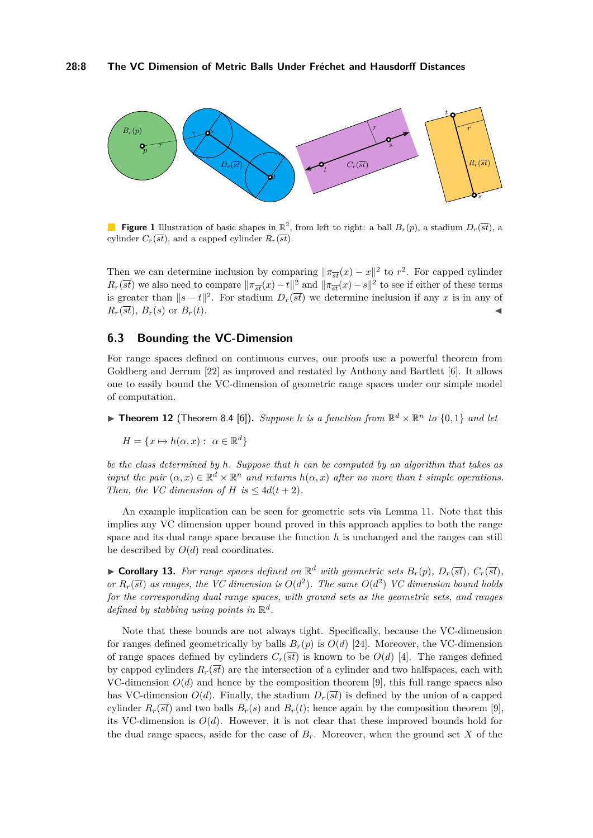## **28:8 The VC Dimension of Metric Balls Under Fréchet and Hausdorff Distances**



**Figure 1** Illustration of basic shapes in  $\mathbb{R}^2$ , from left to right: a ball  $B_r(p)$ , a stadium  $D_r(\overline{st})$ , a cylinder  $C_r(\overline{st})$ , and a capped cylinder  $R_r(\overline{st})$ .

Then we can determine inclusion by comparing  $\|\pi_{\overline{st}}(x) - x\|^2$  to  $r^2$ . For capped cylinder  $R_r(\overline{st})$  we also need to compare  $\|\pi_{\overline{st}}(x) - t\|^2$  and  $\|\pi_{\overline{st}}(x) - s\|^2$  to see if either of these terms is greater than  $||s - t||^2$ . For stadium  $D_r(\overline{st})$  we determine inclusion if any *x* is in any of  $R_r(\overline{st})$ ,  $B_r(s)$  or  $B_r(t)$ .

# **6.3 Bounding the VC-Dimension**

For range spaces defined on continuous curves, our proofs use a powerful theorem from Goldberg and Jerrum [\[22\]](#page-15-13) as improved and restated by Anthony and Bartlett [\[6\]](#page-14-0). It allows one to easily bound the VC-dimension of geometric range spaces under our simple model of computation.

<span id="page-7-0"></span>**Find 12** (Theorem 8.4 [\[6\]](#page-14-0)). Suppose *h* is a function from  $\mathbb{R}^d \times \mathbb{R}^n$  to  $\{0,1\}$  and let

$$
H = \{x \mapsto h(\alpha, x) : \ \alpha \in \mathbb{R}^d\}
$$

*be the class determined by h. Suppose that h can be computed by an algorithm that takes as input the pair*  $(\alpha, x) \in \mathbb{R}^d \times \mathbb{R}^n$  *and returns*  $h(\alpha, x)$  *after no more than t simple operations. Then, the VC dimension of H is*  $\leq 4d(t+2)$ *.* 

An example implication can be seen for geometric sets via Lemma [11.](#page-6-1) Note that this implies any VC dimension upper bound proved in this approach applies to both the range space and its dual range space because the function *h* is unchanged and the ranges can still be described by  $O(d)$  real coordinates.

 $\blacktriangleright$  **Corollary 13.** For range spaces defined on  $\mathbb{R}^d$  with geometric sets  $B_r(p)$ ,  $D_r(\overline{st})$ ,  $C_r(\overline{st})$ , *or*  $R_r(\overline{st})$  *as ranges, the VC dimension is*  $O(d^2)$ *. The same*  $O(d^2)$  *VC dimension bound holds for the corresponding dual range spaces, with ground sets as the geometric sets, and ranges defined by stabbing using points in* R *d .*

Note that these bounds are not always tight. Specifically, because the VC-dimension for ranges defined geometrically by balls  $B_r(p)$  is  $O(d)$  [\[24\]](#page-15-5). Moreover, the VC-dimension of range spaces defined by cylinders  $C_r(\overline{st})$  is known to be  $O(d)$  [\[4\]](#page-14-15). The ranges defined by capped cylinders  $R_r(\overline{st})$  are the intersection of a cylinder and two halfspaces, each with VC-dimension  $O(d)$  and hence by the composition theorem [\[9\]](#page-14-12), this full range spaces also has VC-dimension  $O(d)$ . Finally, the stadium  $D_r(\overline{st})$  is defined by the union of a capped cylinder  $R_r(\overline{st})$  and two balls  $B_r(s)$  and  $B_r(t)$ ; hence again by the composition theorem [\[9\]](#page-14-12), its VC-dimension is  $O(d)$ . However, it is not clear that these improved bounds hold for the dual range spaces, aside for the case of  $B_r$ . Moreover, when the ground set X of the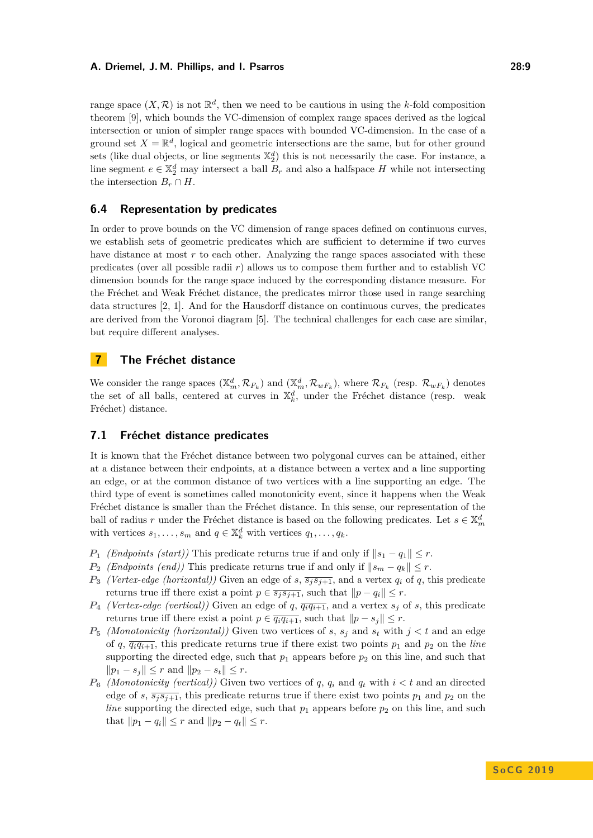range space  $(X, \mathcal{R})$  is not  $\mathbb{R}^d$ , then we need to be cautious in using the *k*-fold composition theorem [\[9\]](#page-14-12), which bounds the VC-dimension of complex range spaces derived as the logical intersection or union of simpler range spaces with bounded VC-dimension. In the case of a ground set  $X = \mathbb{R}^d$ , logical and geometric intersections are the same, but for other ground sets (like dual objects, or line segments  $\mathbb{X}_2^d$ ) this is not necessarily the case. For instance, a line segment  $e \in \mathbb{X}_2^d$  may intersect a ball  $B_r$  and also a halfspace *H* while not intersecting the intersection  $B_r \cap H$ .

# **6.4 Representation by predicates**

In order to prove bounds on the VC dimension of range spaces defined on continuous curves, we establish sets of geometric predicates which are sufficient to determine if two curves have distance at most *r* to each other. Analyzing the range spaces associated with these predicates (over all possible radii *r*) allows us to compose them further and to establish VC dimension bounds for the range space induced by the corresponding distance measure. For the Fréchet and Weak Fréchet distance, the predicates mirror those used in range searching data structures [\[2,](#page-13-0) [1\]](#page-13-1). And for the Hausdorff distance on continuous curves, the predicates are derived from the Voronoi diagram [\[5\]](#page-14-16). The technical challenges for each case are similar, but require different analyses.

# **7 The Fréchet distance**

We consider the range spaces  $(\mathbb{X}_m^d, \mathcal{R}_{F_k})$  and  $(\mathbb{X}_m^d, \mathcal{R}_{wF_k})$ , where  $\mathcal{R}_{F_k}$  (resp.  $\mathcal{R}_{wF_k}$ ) denotes the set of all balls, centered at curves in  $\mathbb{X}_k^d$ , under the Fréchet distance (resp. weak Fréchet) distance.

# **7.1 Fréchet distance predicates**

It is known that the Fréchet distance between two polygonal curves can be attained, either at a distance between their endpoints, at a distance between a vertex and a line supporting an edge, or at the common distance of two vertices with a line supporting an edge. The third type of event is sometimes called monotonicity event, since it happens when the Weak Fréchet distance is smaller than the Fréchet distance. In this sense, our representation of the ball of radius *r* under the Fréchet distance is based on the following predicates. Let  $s \in \mathbb{X}_m^d$ with vertices  $s_1, \ldots, s_m$  and  $q \in \mathbb{X}_k^d$  with vertices  $q_1, \ldots, q_k$ .

- *P*<sub>1</sub> *(Endpoints (start))* This predicate returns true if and only if  $||s_1 q_1|| \leq r$ .
- *P***<sub>2</sub>** *(Endpoints (end))* This predicate returns true if and only if  $||s_m q_k|| \leq r$ .
- *P*<sup>3</sup> *(Vertex-edge (horizontal))* Given an edge of *s*,  $\overline{s_j s_{j+1}}$ , and a vertex *q<sub>i</sub>* of *q*, this predicate returns true iff there exist a point  $p \in \overline{s_j s_{j+1}}$ , such that  $||p - q_i|| \leq r$ .
- $P_4$  *(Vertex-edge (vertical))* Given an edge of *q*,  $\overline{q_i q_{i+1}}$ , and a vertex  $s_j$  of *s*, this predicate returns true iff there exist a point  $p \in \overline{q_i q_{i+1}}$ , such that  $||p - s_i|| \leq r$ .
- *P*<sub>5</sub> *(Monotonicity (horizontal))* Given two vertices of *s*,  $s_j$  and  $s_t$  with  $j < t$  and an edge of *q*,  $\overline{q_i q_{i+1}}$ , this predicate returns true if there exist two points  $p_1$  and  $p_2$  on the *line* supporting the directed edge, such that  $p_1$  appears before  $p_2$  on this line, and such that  $||p_1 - s_j|| \leq r$  and  $||p_2 - s_j|| \leq r$ .
- $P_6$  *(Monotonicity (vertical))* Given two vertices of *q*,  $q_i$  and  $q_t$  with  $i < t$  and an directed edge of *s*,  $\overline{s_i s_{i+1}}$ , this predicate returns true if there exist two points  $p_1$  and  $p_2$  on the *line* supporting the directed edge, such that  $p_1$  appears before  $p_2$  on this line, and such that  $||p_1 - q_i|| \leq r$  and  $||p_2 - q_t|| \leq r$ .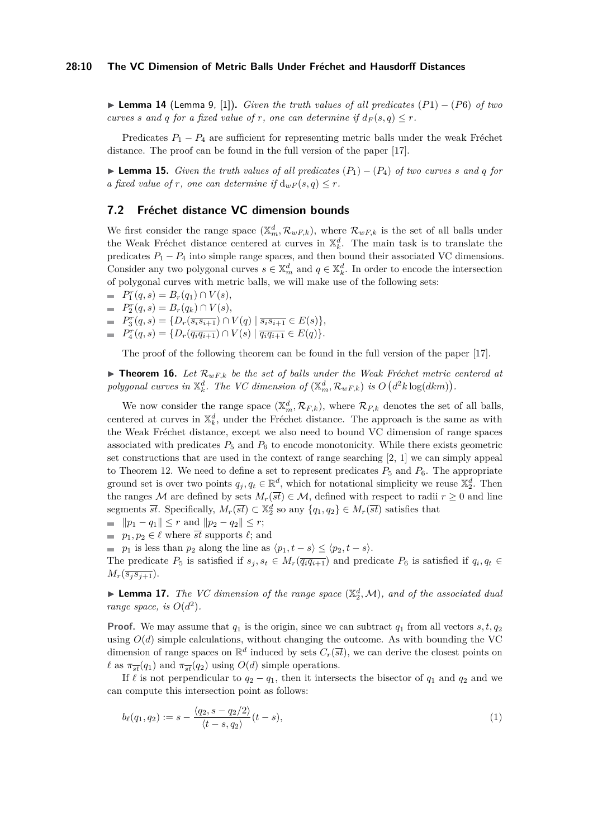<span id="page-9-2"></span>I **Lemma 14** (Lemma 9, [\[1\]](#page-13-1))**.** *Given the truth values of all predicates* (*P*1) − (*P*6) *of two curves s* and *q for a fixed value of r*, *one can determine if*  $d_F(s, q) \leq r$ *.* 

Predicates  $P_1 - P_4$  are sufficient for representing metric balls under the weak Fréchet distance. The proof can be found in the full version of the paper [\[17\]](#page-14-17).

**► Lemma 15.** *Given the truth values of all predicates*  $(P_1) - (P_4)$  *of two curves s and q for a* fixed value of *r,* one can determine if  $d_{wF}(s, q) \leq r$ .

## **7.2 Fréchet distance VC dimension bounds**

We first consider the range space  $(\mathbb{X}_m^d, \mathcal{R}_{wF,k})$ , where  $\mathcal{R}_{wF,k}$  is the set of all balls under the Weak Fréchet distance centered at curves in  $\mathbb{X}_k^d$ . The main task is to translate the predicates  $P_1 - P_4$  into simple range spaces, and then bound their associated VC dimensions. Consider any two polygonal curves  $s \in \mathbb{X}_m^d$  and  $q \in \mathbb{X}_k^d$ . In order to encode the intersection of polygonal curves with metric balls, we will make use of the following sets:

 $P_1^r(q, s) = B_r(q_1) \cap V(s),$ 

- $P_2^r(q, s) = B_r(q_k) \cap V(s),$
- $P_3^r(q, s) = \{D_r(\overline{s_i s_{i+1}}) \cap V(q) \mid \overline{s_i s_{i+1}} \in E(s)\},$
- $P_4^r(q, s) = \{D_r(\overline{q_i q_{i+1}}) \cap V(s) \mid \overline{q_i q_{i+1}} \in E(q)\}.$

The proof of the following theorem can be found in the full version of the paper [\[17\]](#page-14-17).

<span id="page-9-0"></span>**Find 16.** Let  $\mathcal{R}_{wF,k}$  be the set of balls under the Weak Fréchet metric centered at polygonal curves in  $\mathbb{X}_{k}^{d}$ . The VC dimension of  $(\mathbb{X}_{m}^{d}, \mathcal{R}_{wF,k})$  is  $O(d^{2}k \log(dkm))$ .

We now consider the range space  $(\mathbb{X}_m^d, \mathcal{R}_{F,k})$ , where  $\mathcal{R}_{F,k}$  denotes the set of all balls, centered at curves in  $\mathbb{X}_k^d$ , under the Fréchet distance. The approach is the same as with the Weak Fréchet distance, except we also need to bound VC dimension of range spaces associated with predicates  $P_5$  and  $P_6$  to encode monotonicity. While there exists geometric set constructions that are used in the context of range searching  $[2, 1]$  $[2, 1]$  $[2, 1]$  we can simply appeal to Theorem [12.](#page-7-0) We need to define a set to represent predicates  $P_5$  and  $P_6$ . The appropriate ground set is over two points  $q_j, q_t \in \mathbb{R}^d$ , which for notational simplicity we reuse  $\mathbb{X}_2^d$ . Then the ranges M are defined by sets  $M_r(\overline{st}) \in \mathcal{M}$ , defined with respect to radii  $r \geq 0$  and line segments  $\overline{st}$ . Specifically,  $M_r(\overline{st}) \subset \mathbb{X}_2^d$  so any  $\{q_1, q_2\} \in M_r(\overline{st})$  satisfies that

- $\|\textbf{p}_1 \textbf{q}_1\| \leq r \text{ and } \|p_2 \textbf{q}_2\| \leq r;$
- $p_1, p_2 \in \ell$  where  $\overline{st}$  supports  $\ell$ ; and

*p*<sub>1</sub> is less than  $p_2$  along the line as  $\langle p_1, t - s \rangle \leq \langle p_2, t - s \rangle$ .

The predicate  $P_5$  is satisfied if  $s_j, s_t \in M_r(\overline{q_iq_{i+1}})$  and predicate  $P_6$  is satisfied if  $q_i, q_t \in$  $M_r(\overline{s_i s_{i+1}})$ .

<span id="page-9-3"></span>**Example 17.** The VC dimension of the range space  $(\mathbb{X}_2^d, \mathcal{M})$ , and of the associated dual *range space, is*  $O(d^2)$ *.* 

**Proof.** We may assume that  $q_1$  is the origin, since we can subtract  $q_1$  from all vectors  $s, t, q_2$ using  $O(d)$  simple calculations, without changing the outcome. As with bounding the VC dimension of range spaces on  $\mathbb{R}^d$  induced by sets  $C_r(\overline{st})$ , we can derive the closest points on  $\ell$  as  $\pi_{\overline{st}}(q_1)$  and  $\pi_{\overline{st}}(q_2)$  using  $O(d)$  simple operations.

If  $\ell$  is not perpendicular to  $q_2 - q_1$ , then it intersects the bisector of  $q_1$  and  $q_2$  and we can compute this intersection point as follows:

<span id="page-9-1"></span>
$$
b_{\ell}(q_1, q_2) := s - \frac{\langle q_2, s - q_2/2 \rangle}{\langle t - s, q_2 \rangle} (t - s), \tag{1}
$$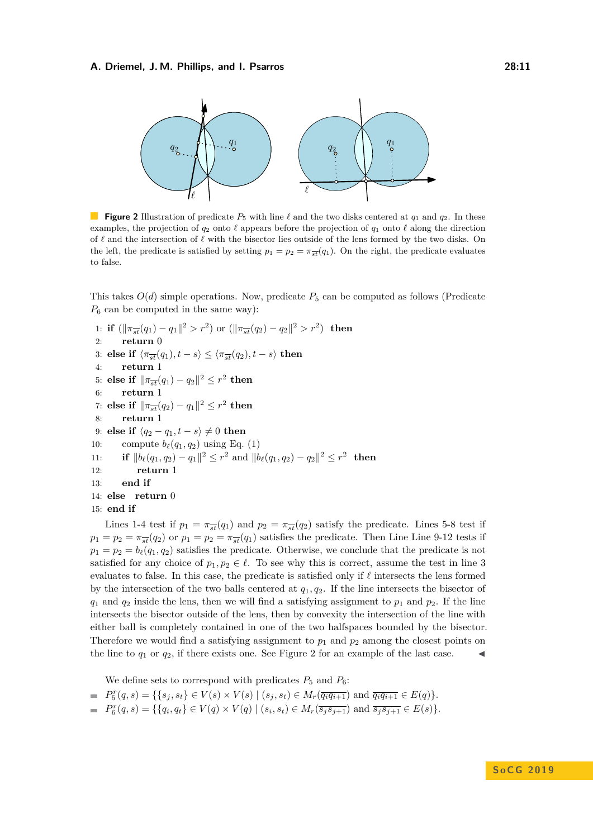<span id="page-10-0"></span>

**Figure 2** Illustration of predicate  $P_5$  with line  $\ell$  and the two disks centered at  $q_1$  and  $q_2$ . In these examples, the projection of  $q_2$  onto  $\ell$  appears before the projection of  $q_1$  onto  $\ell$  along the direction of  $\ell$  and the intersection of  $\ell$  with the bisector lies outside of the lens formed by the two disks. On the left, the predicate is satisfied by setting  $p_1 = p_2 = \pi_{\overline{st}}(q_1)$ . On the right, the predicate evaluates to false.

This takes  $O(d)$  simple operations. Now, predicate  $P_5$  can be computed as follows (Predicate  $P_6$  can be computed in the same way):

```
1: if (\|\pi_{\overline{st}}(q_1) - q_1\|^2 > r^2) or (\|\pi_{\overline{st}}(q_2) - q_2\|^2 > r^2) then
 2: return 0
3: else if \langle \pi_{\overline{st}}(q_1), t - s \rangle \leq \langle \pi_{\overline{st}}(q_2), t - s \rangle then
 4: return 1
 5: else if \|\pi_{\overline{st}}(q_1) - q_2\|^2 \leq r^2 then
 6: return 1
 7: else if \|\pi_{\overline{st}}(q_2) - q_1\|^2 \leq r^2 then
 8: return 1
 9: else if \langle q_2 - q_1, t - s \rangle \neq 0 then
10: compute b_{\ell}(q_1, q_2)(1)
11: if ||b_{\ell}(q_1, q_2) - q_1||^2 \leq r^2 and ||b_{\ell}(q_1, q_2) - q_2||^2 \leq r^2 then
12: return 1
13: end if
14: else return 0
15: end if
```
Lines 1-4 test if  $p_1 = \pi_{st}(q_1)$  and  $p_2 = \pi_{st}(q_2)$  satisfy the predicate. Lines 5-8 test if  $p_1 = p_2 = \pi_{\overline{st}}(q_2)$  or  $p_1 = p_2 = \pi_{\overline{st}}(q_1)$  satisfies the predicate. Then Line Line 9-12 tests if  $p_1 = p_2 = b_\ell(q_1, q_2)$  satisfies the predicate. Otherwise, we conclude that the predicate is not satisfied for any choice of  $p_1, p_2 \in \ell$ . To see why this is correct, assume the test in line 3 evaluates to false. In this case, the predicate is satisfied only if  $\ell$  intersects the lens formed by the intersection of the two balls centered at *q*1*, q*2. If the line intersects the bisector of  $q_1$  and  $q_2$  inside the lens, then we will find a satisfying assignment to  $p_1$  and  $p_2$ . If the line intersects the bisector outside of the lens, then by convexity the intersection of the line with either ball is completely contained in one of the two halfspaces bounded by the bisector. Therefore we would find a satisfying assignment to  $p_1$  and  $p_2$  among the closest points on the line to  $q_1$  or  $q_2$ , if there exists one. See Figure [2](#page-10-0) for an example of the last case.

We define sets to correspond with predicates  $P_5$  and  $P_6$ :

$$
= P_5^r(q,s) = \{ \{s_j, s_t\} \in V(s) \times V(s) \mid (s_j, s_t) \in M_r(\overline{q_i q_{i+1}}) \text{ and } \overline{q_i q_{i+1}} \in E(q) \}.
$$

 $P_6^r(q, s) = \{ \{q_i, q_t\} \in V(q) \times V(q) \mid (s_i, s_t) \in M_r(\overline{s_j s_{j+1}}) \text{ and } \overline{s_j s_{j+1}} \in E(s) \}.$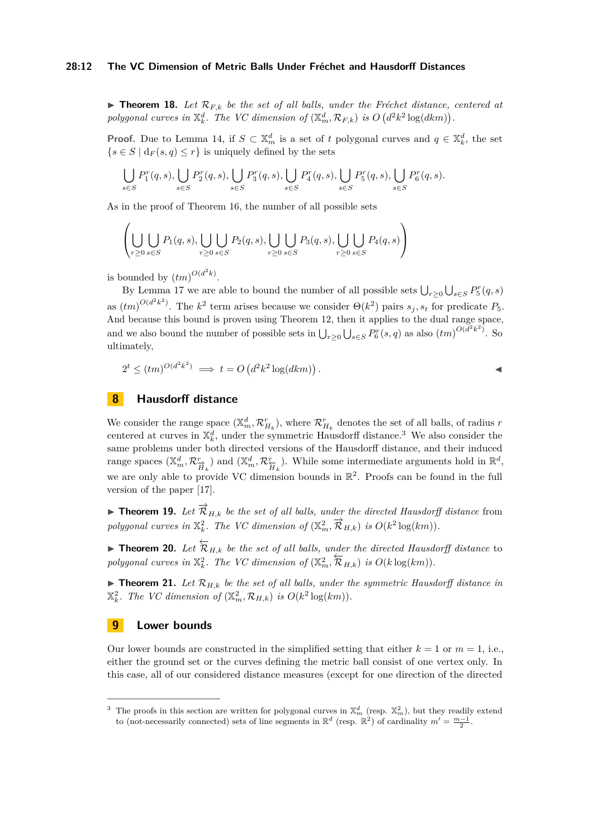## **28:12 The VC Dimension of Metric Balls Under Fréchet and Hausdorff Distances**

<span id="page-11-0"></span> $\triangleright$  **Theorem 18.** Let  $\mathcal{R}_{F,k}$  be the set of all balls, under the Fréchet distance, centered at polygonal curves in  $\mathbb{X}_{k}^{d}$ . The VC dimension of  $(\mathbb{X}_{m}^{d}, \mathcal{R}_{F,k})$  is  $O(d^{2}k^{2}\log(dkm))$ .

**Proof.** Due to Lemma [14,](#page-9-2) if  $S \subset \mathbb{X}_m^d$  is a set of *t* polygonal curves and  $q \in \mathbb{X}_k^d$ , the set  ${s \in S \mid d_F(s, q) \leq r}$  is uniquely defined by the sets

$$
\bigcup_{s\in S} P_1^r(q,s), \bigcup_{s\in S} P_2^r(q,s), \bigcup_{s\in S} P_3^r(q,s), \bigcup_{s\in S} P_4^r(q,s), \bigcup_{s\in S} P_5^r(q,s), \bigcup_{s\in S} P_6^r(q,s).
$$

As in the proof of Theorem [16,](#page-9-0) the number of all possible sets

$$
\left(\bigcup_{r\geq 0}\bigcup_{s\in S}P_1(q,s),\bigcup_{r\geq 0}\bigcup_{s\in S}P_2(q,s),\bigcup_{r\geq 0}\bigcup_{s\in S}P_3(q,s),\bigcup_{r\geq 0}\bigcup_{s\in S}P_4(q,s)\right)
$$

is bounded by  $(tm)^{O(d^2k)}$ .

By Lemma [17](#page-9-3) we are able to bound the number of all possible sets  $\bigcup_{r\geq 0} \bigcup_{s\in S} P_5^r(q,s)$ as  $(tm)^{O(d^2k^2)}$ . The  $k^2$  term arises because we consider  $\Theta(k^2)$  pairs  $s_j, s_t$  for predicate  $P_5$ . And because this bound is proven using Theorem [12,](#page-7-0) then it applies to the dual range space, and we also bound the number of possible sets in  $\bigcup_{r\geq 0}\bigcup_{s\in S}P_6^r(s,q)$  as also  $(tm)^{O(d^2k^2)}$ . So ultimately,

$$
2^t \le (tm)^{O(d^2k^2)} \implies t = O\left(d^2k^2\log(dkm)\right).
$$

# **8 Hausdorff distance**

We consider the range space  $(\mathbb{X}_m^d, \mathcal{R}_{H_k}^r)$ , where  $\mathcal{R}_{H_k}^r$  denotes the set of all balls, of radius *r* centered at curves in  $\mathbb{X}_k^d$ , under the symmetric Hausdorff distance.<sup>[3](#page-11-2)</sup> We also consider the same problems under both directed versions of the Hausdorff distance, and their induced range spaces  $(\mathbb{X}_m^d, \mathcal{R}_{\overrightarrow{H}_k}^r)$  and  $(\mathbb{X}_m^d, \mathcal{R}_{\overleftarrow{H}_k}^r)$ . While some intermediate arguments hold in  $\mathbb{R}^d$ , we are only able to provide VC dimension bounds in  $\mathbb{R}^2$ . Proofs can be found in the full version of the paper [\[17\]](#page-14-17).

► Theorem 19. Let  $\overrightarrow{\mathcal{R}}_{H,k}$  be the set of all balls, under the directed Hausdorff distance from *polygonal curves in*  $\mathbb{X}_k^2$ *. The VC dimension of*  $(\mathbb{X}_m^2, \overrightarrow{\mathcal{R}}_{H,k})$  *is*  $O(k^2 \log(km))$ *.* 

► Theorem 20. Let  $\overleftarrow{\mathcal{R}}_{H,k}$  *be the set of all balls, under the directed Hausdorff distance* to *polygonal curves in*  $\mathbb{X}_k^2$ *. The VC dimension of*  $(\mathbb{X}_m^2, \overleftarrow{R}_{H,k})$  *is*  $O(k \log(km))$ *.* 

<span id="page-11-1"></span> $\blacktriangleright$  **Theorem 21.** Let  $\mathcal{R}_{H,k}$  be the set of all balls, under the symmetric Hausdorff distance in  $\mathbb{X}_{k}^{2}$ *. The VC dimension of*  $(\mathbb{X}_{m}^{2}, \mathcal{R}_{H,k})$  *is*  $O(k^{2} \log(km))$ *.* 

## **9 Lower bounds**

Our lower bounds are constructed in the simplified setting that either  $k = 1$  or  $m = 1$ , i.e., either the ground set or the curves defining the metric ball consist of one vertex only. In this case, all of our considered distance measures (except for one direction of the directed

<span id="page-11-2"></span><sup>&</sup>lt;sup>3</sup> The proofs in this section are written for polygonal curves in  $\mathbb{X}_m^d$  (resp.  $\mathbb{X}_m^2$ ), but they readily extend to (not-necessarily connected) sets of line segments in  $\mathbb{R}^d$  (resp.  $\mathbb{R}^2$ ) of cardinality  $m' = \frac{m-1}{2}$ .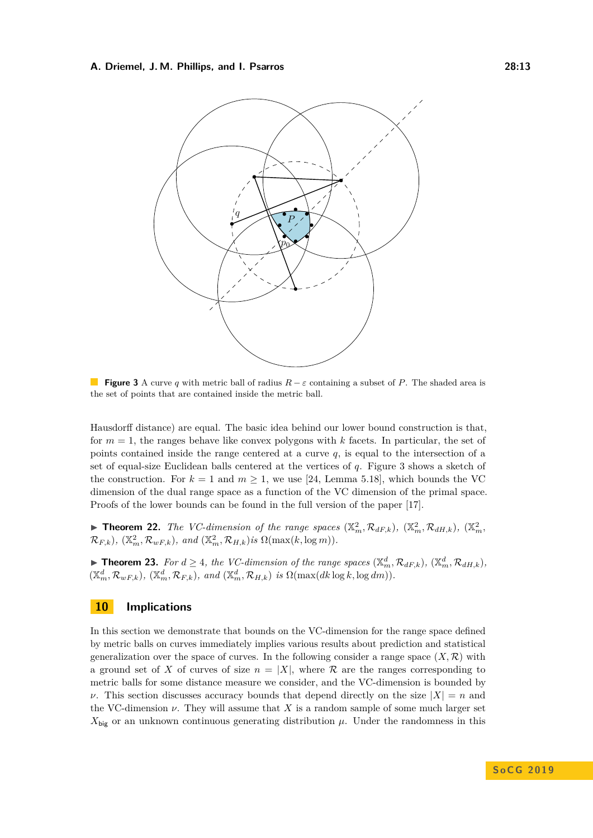<span id="page-12-3"></span>

**Figure 3** A curve *q* with metric ball of radius *R* − *ε* containing a subset of *P*. The shaded area is the set of points that are contained inside the metric ball.

Hausdorff distance) are equal. The basic idea behind our lower bound construction is that, for  $m = 1$ , the ranges behave like convex polygons with  $k$  facets. In particular, the set of points contained inside the range centered at a curve *q*, is equal to the intersection of a set of equal-size Euclidean balls centered at the vertices of *q*. Figure [3](#page-12-3) shows a sketch of the construction. For  $k = 1$  and  $m \ge 1$ , we use [\[24,](#page-15-5) Lemma 5.18], which bounds the VC dimension of the dual range space as a function of the VC dimension of the primal space. Proofs of the lower bounds can be found in the full version of the paper [\[17\]](#page-14-17).

<span id="page-12-2"></span> $\blacktriangleright$  **Theorem 22.** The VC-dimension of the range spaces  $(\mathbb{X}_m^2, \mathcal{R}_{dF,k})$ ,  $(\mathbb{X}_m^2, \mathcal{R}_{dH,k})$ ,  $(\mathbb{X}_m^2, \mathbb{X}_m)$  $\mathcal{R}_{F,k}$ ,  $(\mathbb{X}_m^2, \mathcal{R}_{wF,k})$ , and  $(\mathbb{X}_m^2, \mathcal{R}_{H,k})$ *is*  $\Omega(\max(k, \log m))$ .

<span id="page-12-1"></span>▶ **Theorem 23.** *For*  $d \geq 4$ *, the VC-dimension of the range spaces*  $(\mathbb{X}_m^d, \mathcal{R}_{dF,k})$ *,*  $(\mathbb{X}_m^d, \mathcal{R}_{dH,k})$ *,*  $(\mathbb{X}_m^d, \mathcal{R}_{wF,k})$ ,  $(\mathbb{X}_m^d, \mathcal{R}_{F,k})$ , and  $(\mathbb{X}_m^d, \mathcal{R}_{H,k})$  *is*  $\Omega(\max(dk \log k, \log dm))$ .

# <span id="page-12-0"></span>**10 Implications**

In this section we demonstrate that bounds on the VC-dimension for the range space defined by metric balls on curves immediately implies various results about prediction and statistical generalization over the space of curves. In the following consider a range space  $(X,\mathcal{R})$  with a ground set of *X* of curves of size  $n = |X|$ , where  $\mathcal R$  are the ranges corresponding to metric balls for some distance measure we consider, and the VC-dimension is bounded by *ν*. This section discusses accuracy bounds that depend directly on the size  $|X| = n$  and the VC-dimension  $\nu$ . They will assume that X is a random sample of some much larger set  $X_{\text{big}}$  or an unknown continuous generating distribution  $\mu$ . Under the randomness in this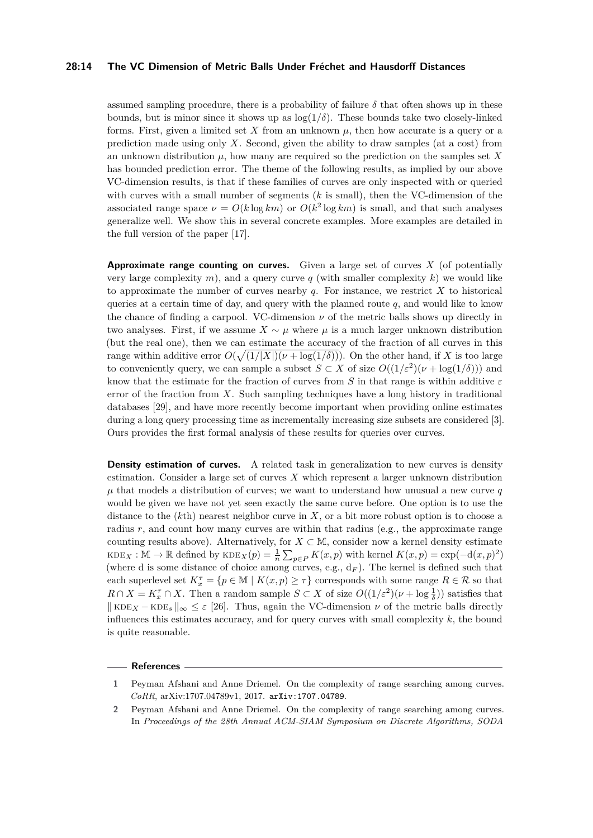## **28:14 The VC Dimension of Metric Balls Under Fréchet and Hausdorff Distances**

assumed sampling procedure, there is a probability of failure  $\delta$  that often shows up in these bounds, but is minor since it shows up as  $log(1/\delta)$ . These bounds take two closely-linked forms. First, given a limited set X from an unknown  $\mu$ , then how accurate is a query or a prediction made using only *X*. Second, given the ability to draw samples (at a cost) from an unknown distribution  $\mu$ , how many are required so the prediction on the samples set X has bounded prediction error. The theme of the following results, as implied by our above VC-dimension results, is that if these families of curves are only inspected with or queried with curves with a small number of segments (*k* is small), then the VC-dimension of the associated range space  $\nu = O(k \log km)$  or  $O(k^2 \log km)$  is small, and that such analyses generalize well. We show this in several concrete examples. More examples are detailed in the full version of the paper [\[17\]](#page-14-17).

**Approximate range counting on curves.** Given a large set of curves *X* (of potentially very large complexity  $m$ ), and a query curve  $q$  (with smaller complexity  $k$ ) we would like to approximate the number of curves nearby  $q$ . For instance, we restrict  $X$  to historical queries at a certain time of day, and query with the planned route  $q$ , and would like to know the chance of finding a carpool. VC-dimension  $\nu$  of the metric balls shows up directly in two analyses. First, if we assume  $X \sim \mu$  where  $\mu$  is a much larger unknown distribution (but the real one), then we can estimate the accuracy of the fraction of all curves in this range within additive error  $O(\sqrt{(1/|X|)(\nu + \log(1/\delta))})$ . On the other hand, if *X* is too large to conveniently query, we can sample a subset  $S \subset X$  of size  $O((1/\varepsilon^2)(\nu + \log(1/\delta)))$  and know that the estimate for the fraction of curves from *S* in that range is within additive *ε* error of the fraction from *X*. Such sampling techniques have a long history in traditional databases [\[29\]](#page-15-14), and have more recently become important when providing online estimates during a long query processing time as incrementally increasing size subsets are considered [\[3\]](#page-14-18). Ours provides the first formal analysis of these results for queries over curves.

**Density estimation of curves.** A related task in generalization to new curves is density estimation. Consider a large set of curves *X* which represent a larger unknown distribution  $\mu$  that models a distribution of curves; we want to understand how unusual a new curve  $q$ would be given we have not yet seen exactly the same curve before. One option is to use the distance to the (*k*th) nearest neighbor curve in *X*, or a bit more robust option is to choose a radius  $r$ , and count how many curves are within that radius (e.g., the approximate range counting results above). Alternatively, for  $X \subset M$ , consider now a kernel density estimate  $KDE_X : \mathbb{M} \to \mathbb{R}$  defined by  $KDE_X(p) = \frac{1}{n} \sum_{p \in P} K(x, p)$  with kernel  $K(x, p) = \exp(-\mathrm{d}(x, p)^2)$ (where d is some distance of choice among curves, e.g.,  $d_F$ ). The kernel is defined such that each superlevel set  $K_x^{\tau} = \{p \in \mathbb{M} \mid K(x, p) \geq \tau\}$  corresponds with some range  $R \in \mathcal{R}$  so that  $R \cap X = K_x^{\tau} \cap X$ . Then a random sample  $S \subset X$  of size  $O((1/\varepsilon^2)(\nu + \log \frac{1}{\delta}))$  satisfies that  $\|$  KDE<sub>X</sub> − KDE<sub>s</sub>  $\|_{\infty} \leq \varepsilon$  [\[26\]](#page-15-9). Thus, again the VC-dimension  $\nu$  of the metric balls directly influences this estimates accuracy, and for query curves with small complexity *k*, the bound is quite reasonable.

#### **References**

<span id="page-13-1"></span>**<sup>1</sup>** Peyman Afshani and Anne Driemel. On the complexity of range searching among curves. *CoRR*, arXiv:1707.04789v1, 2017. [arXiv:1707.04789](http://arxiv.org/abs/1707.04789).

<span id="page-13-0"></span>**<sup>2</sup>** Peyman Afshani and Anne Driemel. On the complexity of range searching among curves. In *Proceedings of the 28th Annual ACM-SIAM Symposium on Discrete Algorithms, SODA*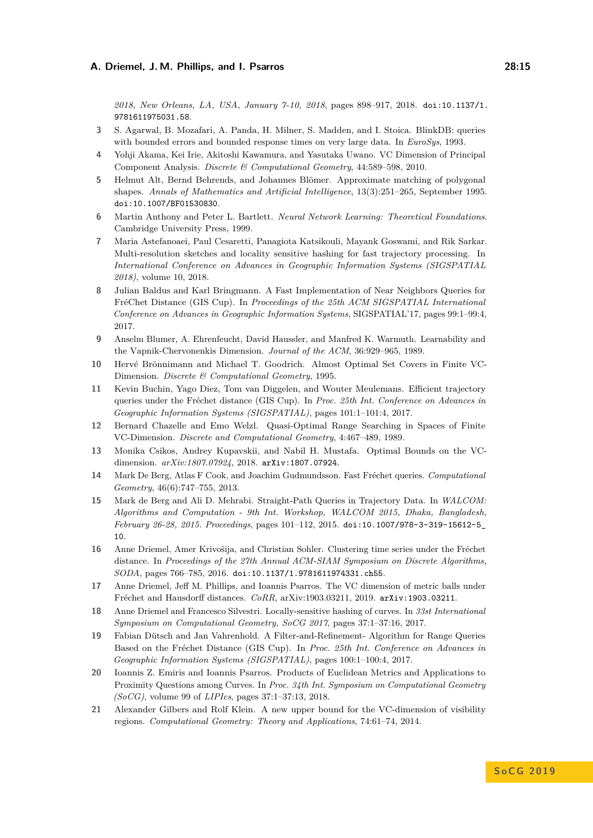*2018, New Orleans, LA, USA, January 7-10, 2018*, pages 898–917, 2018. [doi:10.1137/1.](http://dx.doi.org/10.1137/1.9781611975031.58) [9781611975031.58](http://dx.doi.org/10.1137/1.9781611975031.58).

- <span id="page-14-18"></span>**3** S. Agarwal, B. Mozafari, A. Panda, H. Milner, S. Madden, and I. Stoica. BlinkDB: queries with bounded errors and bounded response times on very large data. In *EuroSys*, 1993.
- <span id="page-14-15"></span>**4** Yohji Akama, Kei Irie, Akitoshi Kawamura, and Yasutaka Uwano. VC Dimension of Principal Component Analysis. *Discrete & Computational Geometry*, 44:589–598, 2010.
- <span id="page-14-16"></span>**5** Helmut Alt, Bernd Behrends, and Johannes Blömer. Approximate matching of polygonal shapes. *Annals of Mathematics and Artificial Intelligence*, 13(3):251–265, September 1995. [doi:10.1007/BF01530830](http://dx.doi.org/10.1007/BF01530830).
- <span id="page-14-0"></span>**6** Martin Anthony and Peter L. Bartlett. *Neural Network Learning: Theoretical Foundations*. Cambridge University Press, 1999.
- <span id="page-14-10"></span>**7** Maria Astefanoaei, Paul Cesaretti, Panagiota Katsikouli, Mayank Goswami, and Rik Sarkar. Multi-resolution sketches and locality sensitive hashing for fast trajectory processing. In *International Conference on Advances in Geographic Information Systems (SIGSPATIAL 2018)*, volume 10, 2018.
- <span id="page-14-6"></span>**8** Julian Baldus and Karl Bringmann. A Fast Implementation of Near Neighbors Queries for FréChet Distance (GIS Cup). In *Proceedings of the 25th ACM SIGSPATIAL International Conference on Advances in Geographic Information Systems*, SIGSPATIAL'17, pages 99:1–99:4, 2017.
- <span id="page-14-12"></span>**9** Anselm Blumer, A. Ehrenfeucht, David Haussler, and Manfred K. Warmuth. Learnability and the Vapnik-Chervonenkis Dimension. *Journal of the ACM*, 36:929–965, 1989.
- <span id="page-14-2"></span>**10** Hervé Brönnimann and Michael T. Goodrich. Almost Optimal Set Covers in Finite VC-Dimension. *Discrete & Computational Geometry*, 1995.
- <span id="page-14-8"></span>**11** Kevin Buchin, Yago Diez, Tom van Diggelen, and Wouter Meulemans. Efficient trajectory queries under the Fréchet distance (GIS Cup). In *Proc. 25th Int. Conference on Advances in Geographic Information Systems (SIGSPATIAL)*, pages 101:1–101:4, 2017.
- <span id="page-14-1"></span>**12** Bernard Chazelle and Emo Welzl. Quasi-Optimal Range Searching in Spaces of Finite VC-Dimension. *Discrete and Computational Geometry*, 4:467–489, 1989.
- <span id="page-14-13"></span>**13** Monika Csikos, Andrey Kupavskii, and Nabil H. Mustafa. Optimal Bounds on the VCdimension. *arXiv:1807.07924*, 2018. [arXiv:1807.07924](http://arxiv.org/abs/1807.07924).
- <span id="page-14-4"></span>**14** Mark De Berg, Atlas F Cook, and Joachim Gudmundsson. Fast Fréchet queries. *Computational Geometry*, 46(6):747–755, 2013.
- <span id="page-14-5"></span>**15** Mark de Berg and Ali D. Mehrabi. Straight-Path Queries in Trajectory Data. In *WALCOM: Algorithms and Computation - 9th Int. Workshop, WALCOM 2015, Dhaka, Bangladesh, February 26-28, 2015. Proceedings*, pages 101–112, 2015. [doi:10.1007/978-3-319-15612-5\\_](http://dx.doi.org/10.1007/978-3-319-15612-5_10) [10](http://dx.doi.org/10.1007/978-3-319-15612-5_10).
- <span id="page-14-14"></span>**16** Anne Driemel, Amer Krivošija, and Christian Sohler. Clustering time series under the Fréchet distance. In *Proceedings of the 27th Annual ACM-SIAM Symposium on Discrete Algorithms, SODA*, pages 766–785, 2016. [doi:10.1137/1.9781611974331.ch55](http://dx.doi.org/10.1137/1.9781611974331.ch55).
- <span id="page-14-17"></span>**17** Anne Driemel, Jeff M. Phillips, and Ioannis Psarros. The VC dimension of metric balls under Fréchet and Hausdorff distances. *CoRR*, arXiv:1903.03211, 2019. [arXiv:1903.03211](http://arxiv.org/abs/1903.03211).
- <span id="page-14-9"></span>**18** Anne Driemel and Francesco Silvestri. Locally-sensitive hashing of curves. In *33st International Symposium on Computational Geometry, SoCG 2017*, pages 37:1–37:16, 2017.
- <span id="page-14-7"></span>**19** Fabian Dütsch and Jan Vahrenhold. A Filter-and-Refinement- Algorithm for Range Queries Based on the Fréchet Distance (GIS Cup). In *Proc. 25th Int. Conference on Advances in Geographic Information Systems (SIGSPATIAL)*, pages 100:1–100:4, 2017.
- <span id="page-14-11"></span>**20** Ioannis Z. Emiris and Ioannis Psarros. Products of Euclidean Metrics and Applications to Proximity Questions among Curves. In *Proc. 34th Int. Symposium on Computational Geometry (SoCG)*, volume 99 of *LIPIcs*, pages 37:1–37:13, 2018.
- <span id="page-14-3"></span>**21** Alexander Gilbers and Rolf Klein. A new upper bound for the VC-dimension of visibility regions. *Computational Geometry: Theory and Applications*, 74:61–74, 2014.